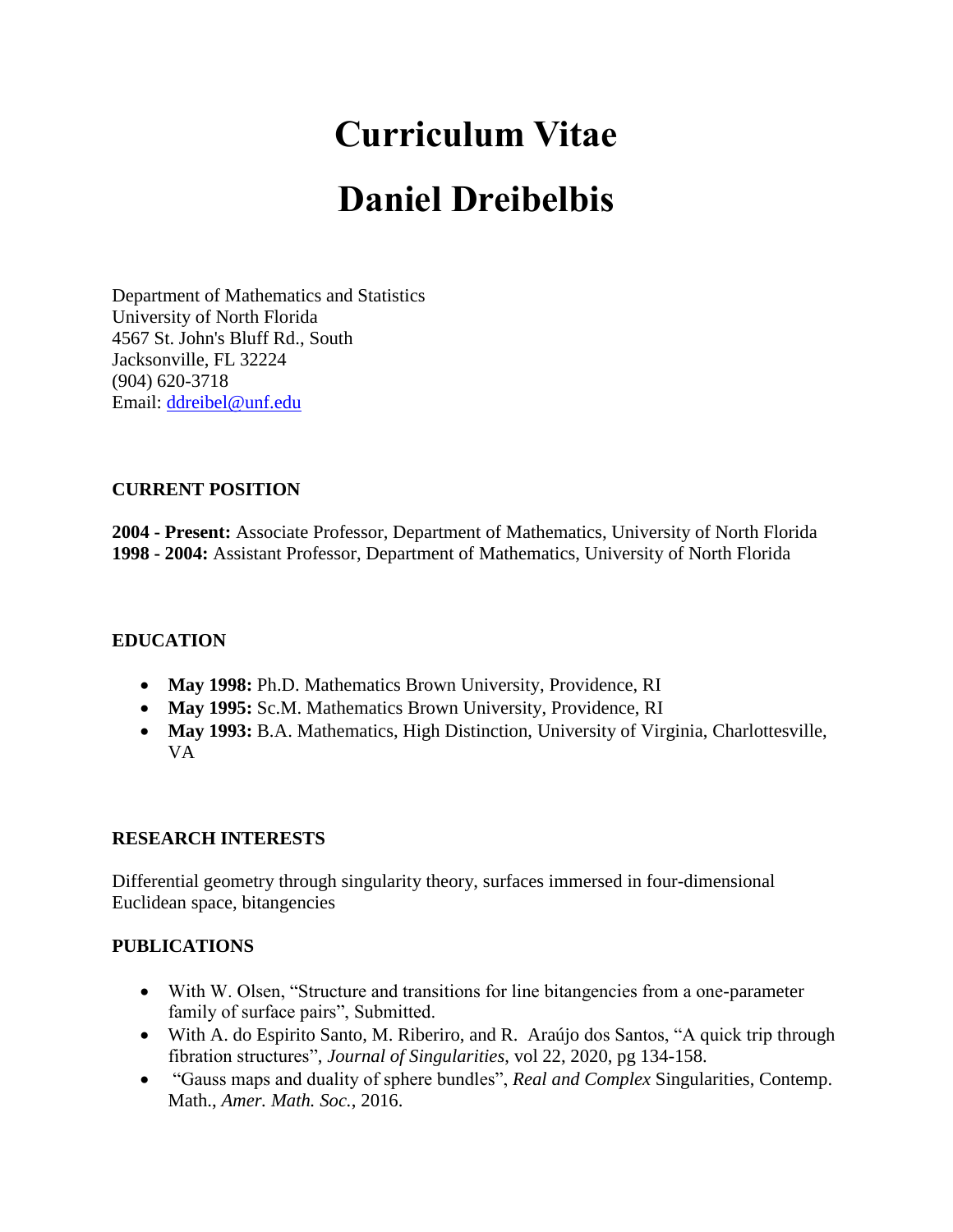# **Curriculum Vitae Daniel Dreibelbis**

Department of Mathematics and Statistics University of North Florida 4567 St. John's Bluff Rd., South Jacksonville, FL 32224 (904) 620-3718 Email: [ddreibel@unf.edu](mailto:ddreibel@unf.edu)

# **CURRENT POSITION**

**2004 - Present:** Associate Professor, Department of Mathematics, University of North Florida **1998 - 2004:** Assistant Professor, Department of Mathematics, University of North Florida

# **EDUCATION**

- **May 1998:** Ph.D. Mathematics Brown University, Providence, RI
- **May 1995:** Sc.M. Mathematics Brown University, Providence, RI
- **May 1993:** B.A. Mathematics, High Distinction, University of Virginia, Charlottesville, VA

# **RESEARCH INTERESTS**

Differential geometry through singularity theory, surfaces immersed in four-dimensional Euclidean space, bitangencies

# **PUBLICATIONS**

- With W. Olsen, "Structure and transitions for line bitangencies from a one-parameter family of surface pairs", Submitted.
- With A. do Espirito Santo, M. Riberiro, and R. Araújo dos Santos, "A quick trip through fibration structures", *Journal of Singularities*, vol 22, 2020, pg 134-158.
- "Gauss maps and duality of sphere bundles", *Real and Complex* Singularities, Contemp. Math., *Amer. Math. Soc.*, 2016.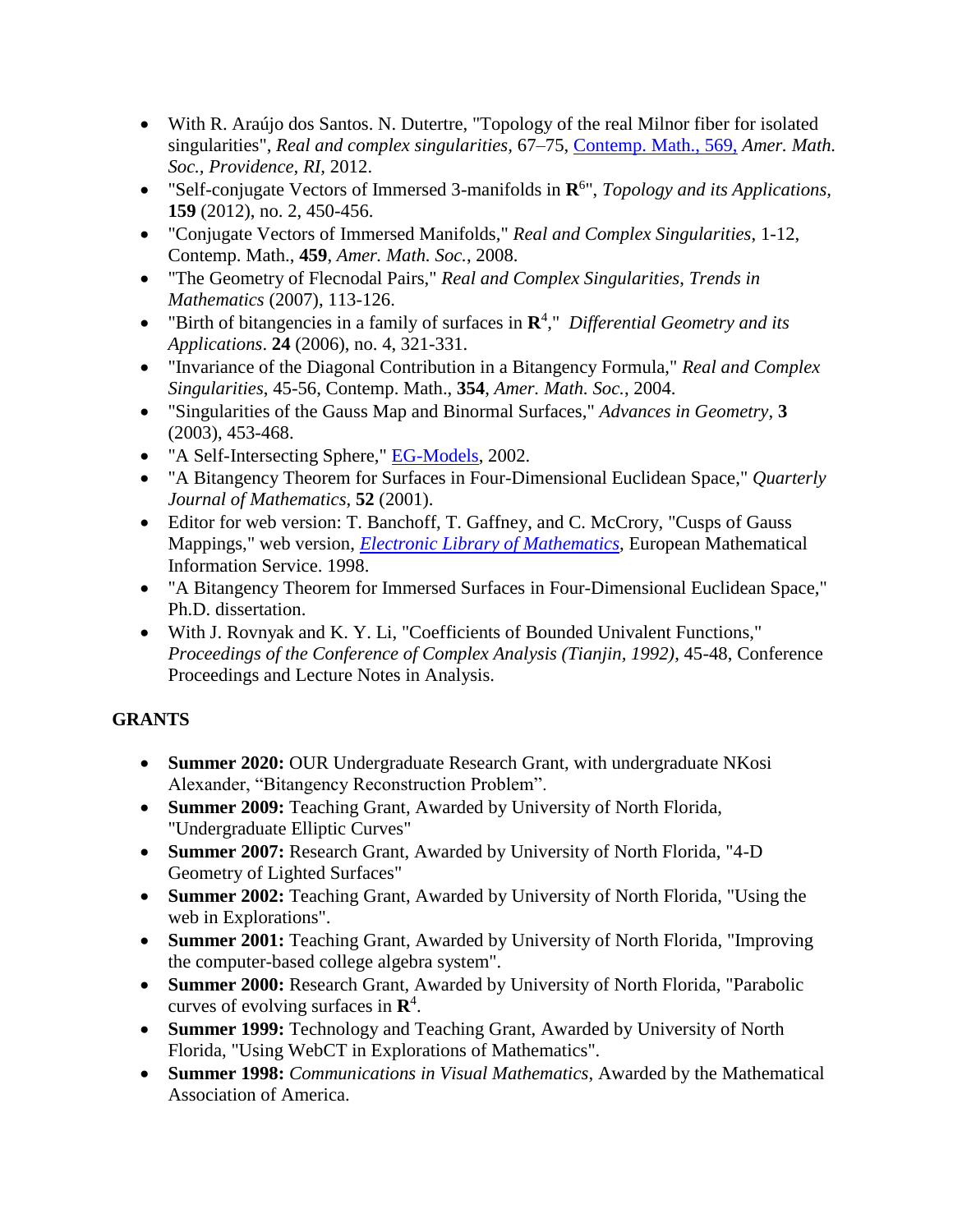- With R. Araújo dos Santos. N. Dutertre, "Topology of the real Milnor fiber for isolated singularities", *Real and complex singularities,* 67–75, [Contemp. Math., 569,](http://www.ams.org.dax.lib.unf.edu/mathscinet/search/series.html?cn=Contemp_Math) *Amer. Math. Soc., Providence, RI,* 2012.
- "Self-conjugate Vectors of Immersed 3-manifolds in **R** 6 ", *Topology and its Applications,* **159** (2012), no. 2, 450-456.
- "Conjugate Vectors of Immersed Manifolds," *Real and Complex Singularities*, 1-12, Contemp. Math., **459**, *Amer. Math. Soc.*, 2008.
- "The Geometry of Flecnodal Pairs," *Real and Complex Singularities*, *Trends in Mathematics* (2007), 113-126.
- "Birth of bitangencies in a family of surfaces in **R** 4 ," *Differential Geometry and its Applications*. **24** (2006), no. 4, 321-331.
- "Invariance of the Diagonal Contribution in a Bitangency Formula," *Real and Complex Singularities*, 45-56, Contemp. Math., **354**, *Amer. Math. Soc.*, 2004.
- "Singularities of the Gauss Map and Binormal Surfaces," *Advances in Geometry,* **3** (2003), 453-468.
- "A Self-Intersecting Sphere," [EG-Models,](http://www-sfb288.math.tu-berlin.de/eg-models/) 2002.
- "A Bitangency Theorem for Surfaces in Four-Dimensional Euclidean Space," *Quarterly Journal of Mathematics*, **52** (2001).
- Editor for web version: T. Banchoff, T. Gaffney, and C. McCrory, "Cusps of Gauss" Mappings," web version, *[Electronic Library of Mathematics](http://www.emis.de/monographs/CGM)*, European Mathematical Information Service. 1998.
- "A Bitangency Theorem for Immersed Surfaces in Four-Dimensional Euclidean Space," Ph.D. dissertation.
- With J. Rovnyak and K. Y. Li, "Coefficients of Bounded Univalent Functions," *Proceedings of the Conference of Complex Analysis (Tianjin, 1992)*, 45-48, Conference Proceedings and Lecture Notes in Analysis.

# **GRANTS**

- **Summer 2020:** OUR Undergraduate Research Grant, with undergraduate NKosi Alexander, "Bitangency Reconstruction Problem".
- **Summer 2009:** Teaching Grant, Awarded by University of North Florida, "Undergraduate Elliptic Curves"
- **Summer 2007:** Research Grant, Awarded by University of North Florida, "4-D Geometry of Lighted Surfaces"
- **Summer 2002:** Teaching Grant, Awarded by University of North Florida, "Using the web in Explorations".
- **Summer 2001:** Teaching Grant, Awarded by University of North Florida, "Improving the computer-based college algebra system".
- **Summer 2000:** Research Grant, Awarded by University of North Florida, "Parabolic curves of evolving surfaces in **R** 4 .
- **Summer 1999:** Technology and Teaching Grant, Awarded by University of North Florida, "Using WebCT in Explorations of Mathematics".
- **Summer 1998:** *Communications in Visual Mathematics*, Awarded by the Mathematical Association of America.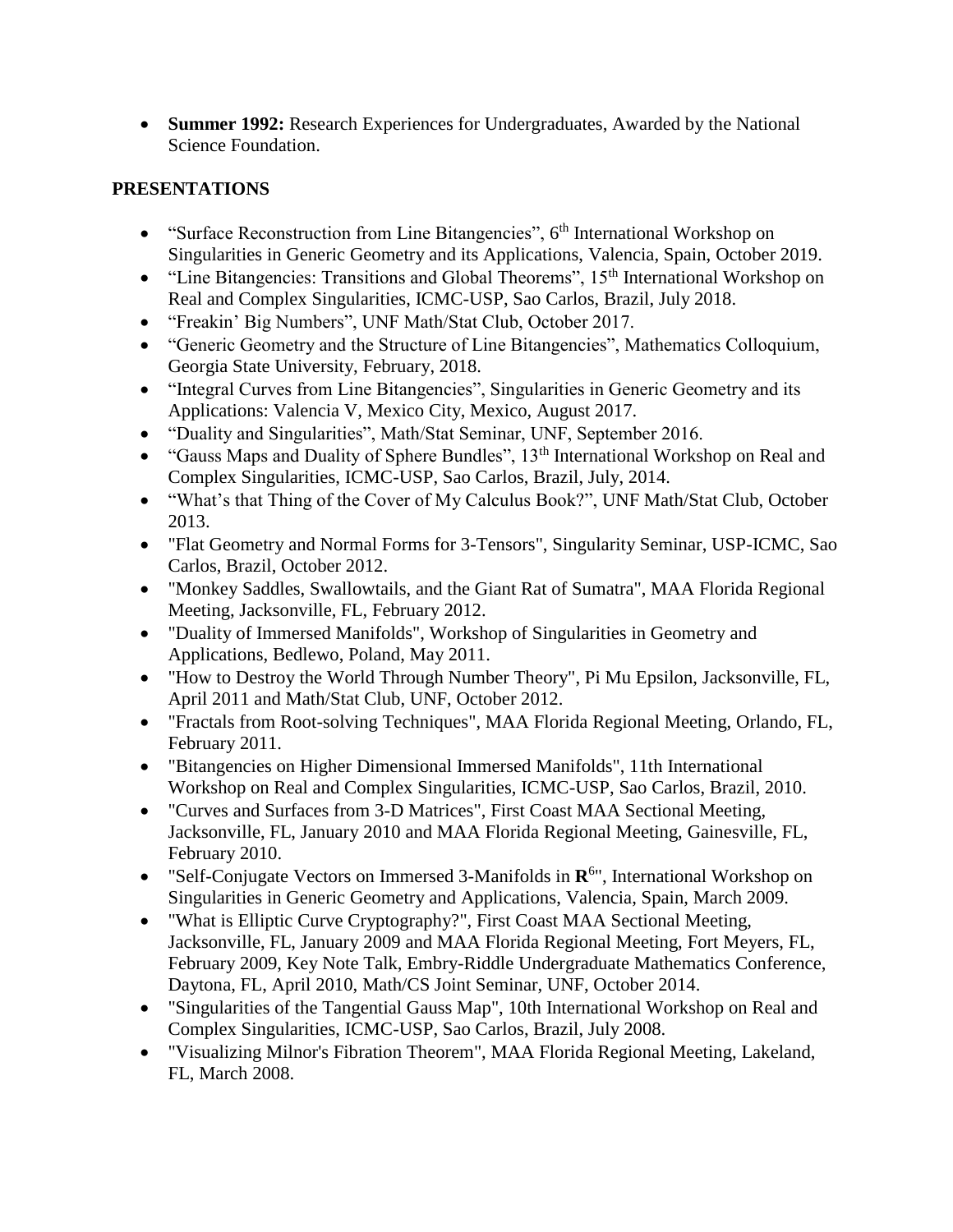**Summer 1992:** Research Experiences for Undergraduates, Awarded by the National Science Foundation.

# **PRESENTATIONS**

- "Surface Reconstruction from Line Bitangencies",  $6<sup>th</sup>$  International Workshop on Singularities in Generic Geometry and its Applications, Valencia, Spain, October 2019.
- "Line Bitangencies: Transitions and Global Theorems",  $15<sup>th</sup>$  International Workshop on Real and Complex Singularities, ICMC-USP, Sao Carlos, Brazil, July 2018.
- "Freakin' Big Numbers", UNF Math/Stat Club, October 2017.
- "Generic Geometry and the Structure of Line Bitangencies", Mathematics Colloquium, Georgia State University, February, 2018.
- "Integral Curves from Line Bitangencies", Singularities in Generic Geometry and its Applications: Valencia V, Mexico City, Mexico, August 2017.
- "Duality and Singularities", Math/Stat Seminar, UNF, September 2016.
- "Gauss Maps and Duality of Sphere Bundles", 13<sup>th</sup> International Workshop on Real and Complex Singularities, ICMC-USP, Sao Carlos, Brazil, July, 2014.
- "What's that Thing of the Cover of My Calculus Book?", UNF Math/Stat Club, October 2013.
- "Flat Geometry and Normal Forms for 3-Tensors", Singularity Seminar, USP-ICMC, Sao Carlos, Brazil, October 2012.
- "Monkey Saddles, Swallowtails, and the Giant Rat of Sumatra", MAA Florida Regional Meeting, Jacksonville, FL, February 2012.
- "Duality of Immersed Manifolds", Workshop of Singularities in Geometry and Applications, Bedlewo, Poland, May 2011.
- "How to Destroy the World Through Number Theory", Pi Mu Epsilon, Jacksonville, FL, April 2011 and Math/Stat Club, UNF, October 2012.
- "Fractals from Root-solving Techniques", MAA Florida Regional Meeting, Orlando, FL, February 2011.
- "Bitangencies on Higher Dimensional Immersed Manifolds", 11th International Workshop on Real and Complex Singularities, ICMC-USP, Sao Carlos, Brazil, 2010.
- "Curves and Surfaces from 3-D Matrices", First Coast MAA Sectional Meeting, Jacksonville, FL, January 2010 and MAA Florida Regional Meeting, Gainesville, FL, February 2010.
- "Self-Conjugate Vectors on Immersed 3-Manifolds in  $\mathbb{R}^{6}$ ", International Workshop on Singularities in Generic Geometry and Applications, Valencia, Spain, March 2009.
- "What is Elliptic Curve Cryptography?", First Coast MAA Sectional Meeting, Jacksonville, FL, January 2009 and MAA Florida Regional Meeting, Fort Meyers, FL, February 2009, Key Note Talk, Embry-Riddle Undergraduate Mathematics Conference, Daytona, FL, April 2010, Math/CS Joint Seminar, UNF, October 2014.
- "Singularities of the Tangential Gauss Map", 10th International Workshop on Real and Complex Singularities, ICMC-USP, Sao Carlos, Brazil, July 2008.
- "Visualizing Milnor's Fibration Theorem", MAA Florida Regional Meeting, Lakeland, FL, March 2008.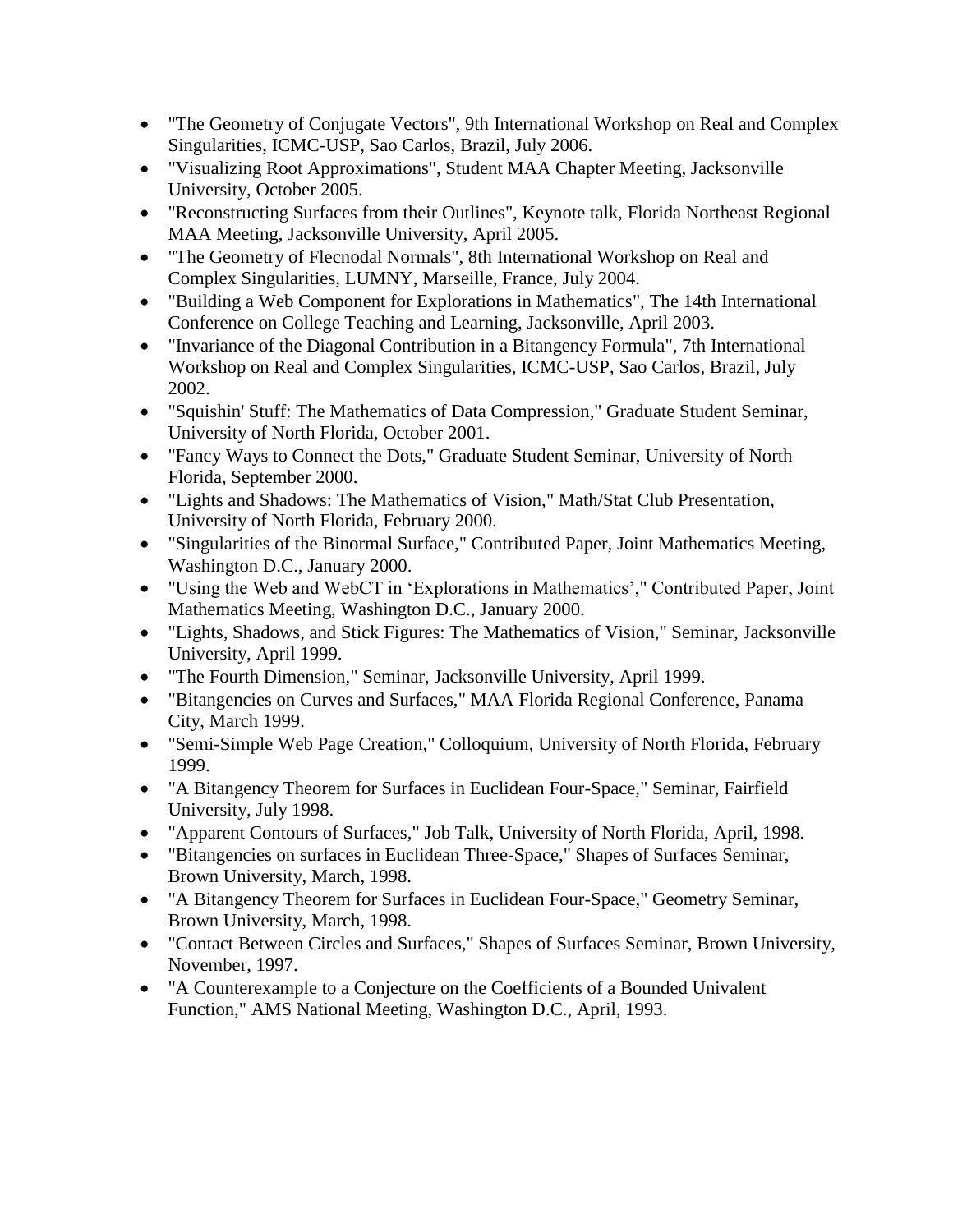- "The Geometry of Conjugate Vectors", 9th International Workshop on Real and Complex Singularities, ICMC-USP, Sao Carlos, Brazil, July 2006.
- "Visualizing Root Approximations", Student MAA Chapter Meeting, Jacksonville University, October 2005.
- "Reconstructing Surfaces from their Outlines", Keynote talk, Florida Northeast Regional MAA Meeting, Jacksonville University, April 2005.
- "The Geometry of Flecnodal Normals", 8th International Workshop on Real and Complex Singularities, LUMNY, Marseille, France, July 2004.
- "Building a Web Component for Explorations in Mathematics", The 14th International Conference on College Teaching and Learning, Jacksonville, April 2003.
- "Invariance of the Diagonal Contribution in a Bitangency Formula", 7th International Workshop on Real and Complex Singularities, ICMC-USP, Sao Carlos, Brazil, July 2002.
- "Squishin' Stuff: The Mathematics of Data Compression," Graduate Student Seminar, University of North Florida, October 2001.
- "Fancy Ways to Connect the Dots," Graduate Student Seminar, University of North Florida, September 2000.
- "Lights and Shadows: The Mathematics of Vision," Math/Stat Club Presentation, University of North Florida, February 2000.
- "Singularities of the Binormal Surface," Contributed Paper, Joint Mathematics Meeting, Washington D.C., January 2000.
- "Using the Web and WebCT in 'Explorations in Mathematics'," Contributed Paper, Joint Mathematics Meeting, Washington D.C., January 2000.
- "Lights, Shadows, and Stick Figures: The Mathematics of Vision," Seminar, Jacksonville University, April 1999.
- "The Fourth Dimension," Seminar, Jacksonville University, April 1999.
- "Bitangencies on Curves and Surfaces," MAA Florida Regional Conference, Panama City, March 1999.
- "Semi-Simple Web Page Creation," Colloquium, University of North Florida, February 1999.
- "A Bitangency Theorem for Surfaces in Euclidean Four-Space," Seminar, Fairfield University, July 1998.
- "Apparent Contours of Surfaces," Job Talk, University of North Florida, April, 1998.
- "Bitangencies on surfaces in Euclidean Three-Space," Shapes of Surfaces Seminar, Brown University, March, 1998.
- "A Bitangency Theorem for Surfaces in Euclidean Four-Space," Geometry Seminar, Brown University, March, 1998.
- "Contact Between Circles and Surfaces," Shapes of Surfaces Seminar, Brown University, November, 1997.
- "A Counterexample to a Conjecture on the Coefficients of a Bounded Univalent Function," AMS National Meeting, Washington D.C., April, 1993.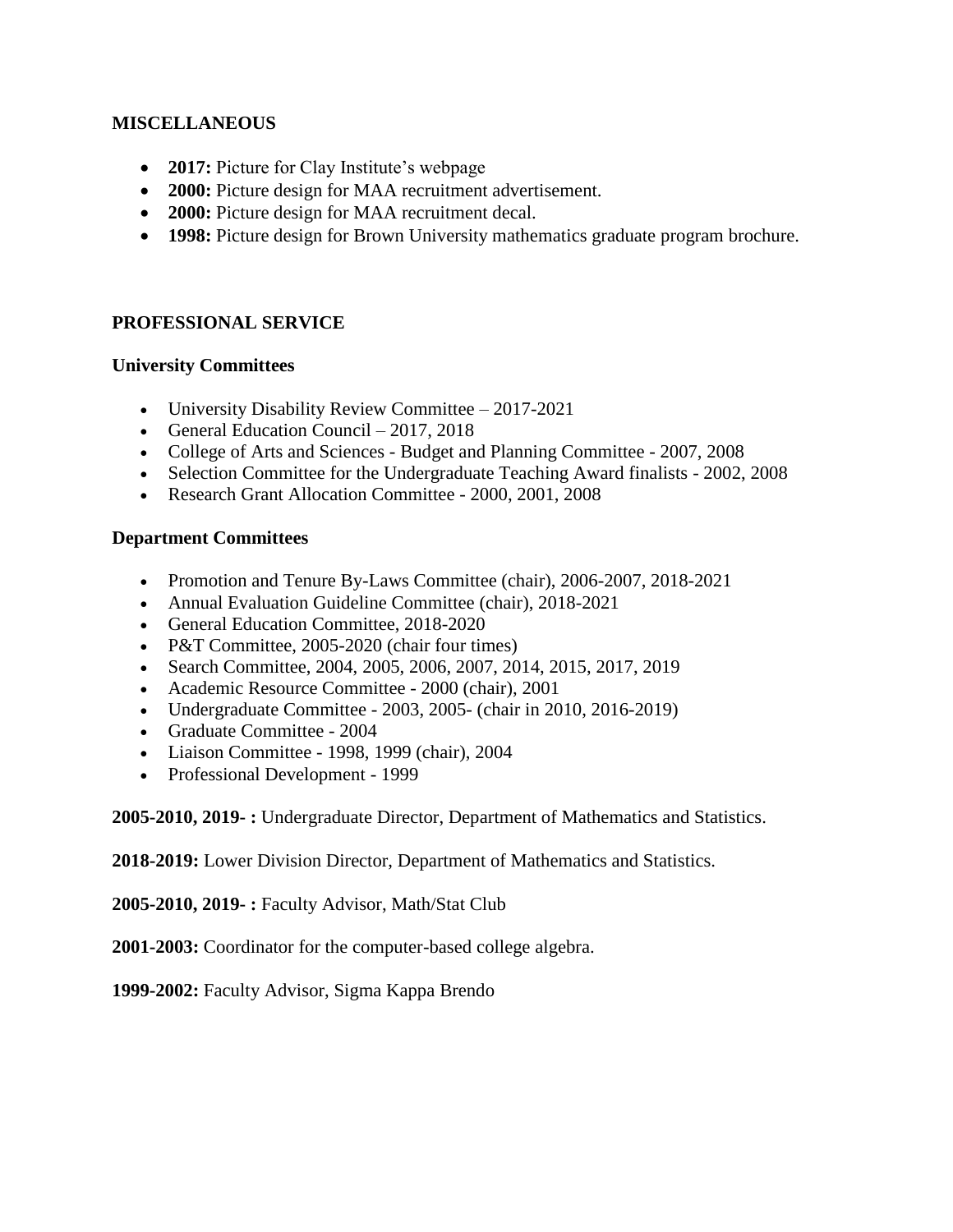## **MISCELLANEOUS**

- **2017:** Picture for Clay Institute's webpage
- **2000:** Picture design for MAA recruitment advertisement.
- **2000:** Picture design for MAA recruitment decal.
- **1998:** Picture design for Brown University mathematics graduate program brochure.

## **PROFESSIONAL SERVICE**

#### **University Committees**

- University Disability Review Committee 2017-2021
- General Education Council  $2017, 2018$
- College of Arts and Sciences Budget and Planning Committee 2007, 2008
- Selection Committee for the Undergraduate Teaching Award finalists 2002, 2008
- Research Grant Allocation Committee 2000, 2001, 2008

## **Department Committees**

- Promotion and Tenure By-Laws Committee (chair), 2006-2007, 2018-2021
- Annual Evaluation Guideline Committee (chair), 2018-2021
- General Education Committee, 2018-2020
- P&T Committee, 2005-2020 (chair four times)
- Search Committee, 2004, 2005, 2006, 2007, 2014, 2015, 2017, 2019
- Academic Resource Committee 2000 (chair), 2001
- Undergraduate Committee 2003, 2005- (chair in 2010, 2016-2019)
- Graduate Committee 2004
- Liaison Committee 1998, 1999 (chair), 2004
- Professional Development 1999

**2005-2010, 2019- :** Undergraduate Director, Department of Mathematics and Statistics.

**2018-2019:** Lower Division Director, Department of Mathematics and Statistics.

**2005-2010, 2019- :** Faculty Advisor, Math/Stat Club

**2001-2003:** Coordinator for the computer-based college algebra.

**1999-2002:** Faculty Advisor, Sigma Kappa Brendo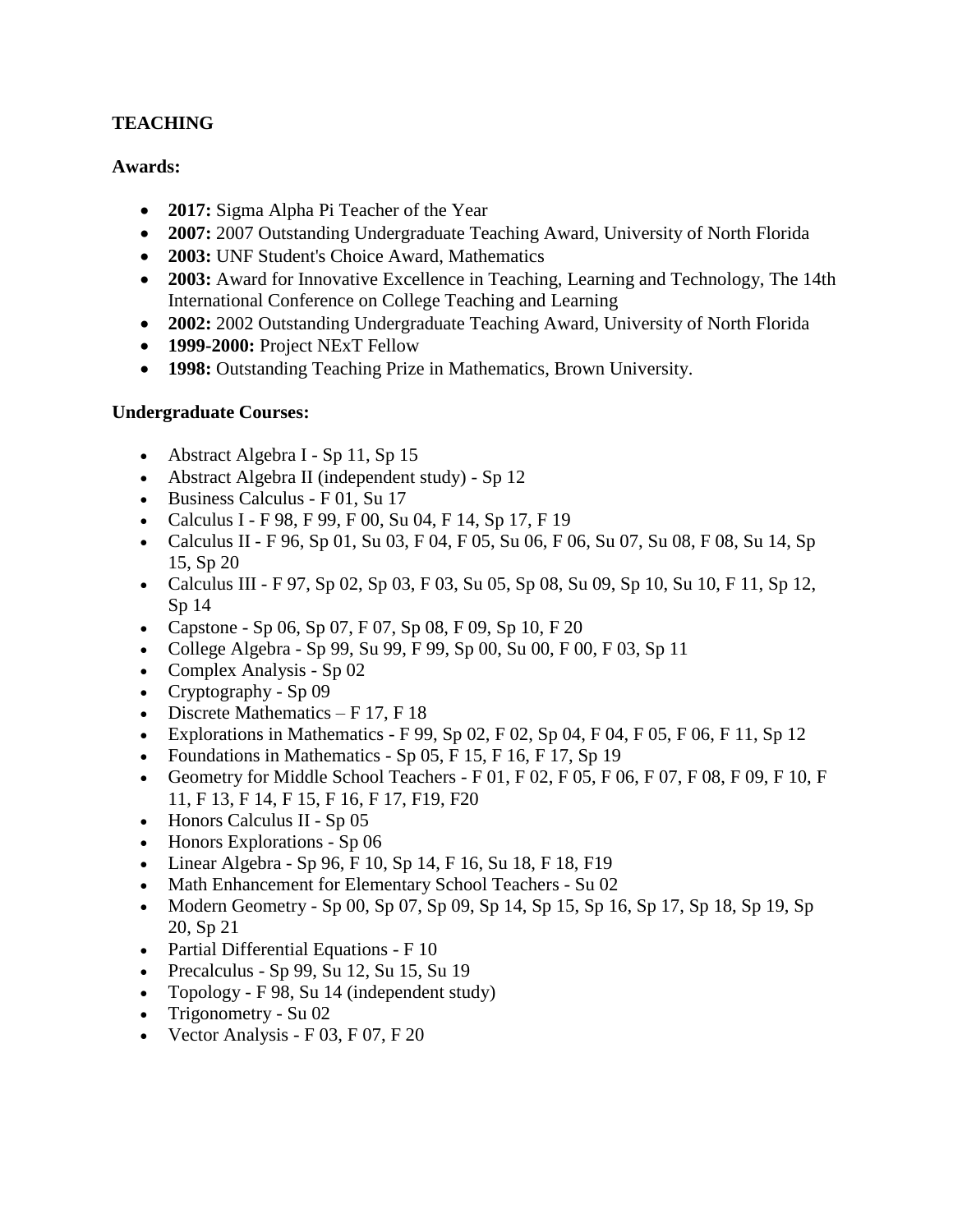# **TEACHING**

# **Awards:**

- 2017: Sigma Alpha Pi Teacher of the Year
- **2007:** 2007 Outstanding Undergraduate Teaching Award, University of North Florida
- **2003:** UNF Student's Choice Award, Mathematics
- **2003:** Award for Innovative Excellence in Teaching, Learning and Technology, The 14th International Conference on College Teaching and Learning
- **2002:** 2002 Outstanding Undergraduate Teaching Award, University of North Florida
- **1999-2000:** Project NExT Fellow
- **1998:** Outstanding Teaching Prize in Mathematics, Brown University.

## **Undergraduate Courses:**

- Abstract Algebra I Sp 11, Sp 15
- Abstract Algebra II (independent study) Sp 12
- Business Calculus F 01, Su 17
- Calculus I F 98, F 99, F 00, Su 04, F 14, Sp 17, F 19
- Calculus II F 96, Sp 01, Su 03, F 04, F 05, Su 06, F 06, Su 07, Su 08, F 08, Su 14, Sp 15, Sp 20
- Calculus III F 97, Sp 02, Sp 03, F 03, Su 05, Sp 08, Su 09, Sp 10, Su 10, F 11, Sp 12, Sp 14
- Capstone Sp 06, Sp 07, F 07, Sp 08, F 09, Sp 10, F 20
- College Algebra Sp 99, Su 99, F 99, Sp 00, Su 00, F 00, F 03, Sp 11
- Complex Analysis Sp 02
- Cryptography Sp 09
- Discrete Mathematics  $F$  17,  $F$  18
- Explorations in Mathematics F 99, Sp 02, F 02, Sp 04, F 04, F 05, F 06, F 11, Sp 12
- Foundations in Mathematics Sp  $05$ , F  $15$ , F  $16$ , F  $17$ , Sp  $19$
- Geometry for Middle School Teachers F 01, F 02, F 05, F 06, F 07, F 08, F 09, F 10, F 11, F 13, F 14, F 15, F 16, F 17, F19, F20
- Honors Calculus II Sp 05
- Honors Explorations Sp 06
- Ultimeter Algebra Sp 96, F 10, Sp 14, F 16, Su 18, F 18, F 19
- Math Enhancement for Elementary School Teachers Su 02
- Modern Geometry Sp 00, Sp 07, Sp 09, Sp 14, Sp 15, Sp 16, Sp 17, Sp 18, Sp 19, Sp 20, Sp 21
- Partial Differential Equations F 10
- Precalculus Sp 99, Su 12, Su 15, Su 19
- Topology F 98, Su 14 (independent study)
- Trigonometry Su 02
- Vector Analysis  $F(03, F(07), F(20))$